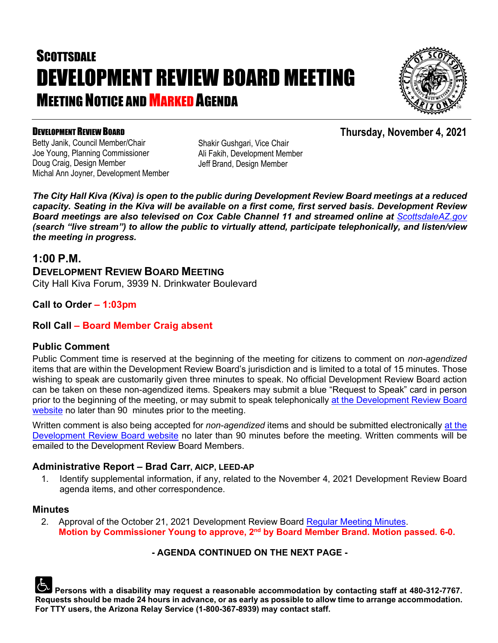# **SCOTTSDALE** DEVELOPMENT REVIEW BOARD MEETING **MEETING NOTICE AND MARKED AGENDA**



#### DEVELOPMENT REVIEW BOARD

Betty Janik, Council Member/Chair Joe Young, Planning Commissioner Doug Craig, Design Member Michal Ann Joyner, Development Member Shakir Gushgari, Vice Chair Ali Fakih, Development Member Jeff Brand, Design Member

*The City Hall Kiva (Kiva) is open to the public during Development Review Board meetings at a reduced capacity. Seating in the Kiva will be available on a first come, first served basis. Development Review*  **Board meetings are also televised on Cox Cable Channel 11 and streamed online at** *[ScottsdaleAZ.gov](http://www.scottsdaleaz.gov/) (search "live stream") to allow the public to virtually attend, participate telephonically, and listen/view the meeting in progress.*

## **1:00 P.M.**

**DEVELOPMENT REVIEW BOARD MEETING** City Hall Kiva Forum, 3939 N. Drinkwater Boulevard

## **Call to Order – 1:03pm**

#### **Roll Call – Board Member Craig absent**

#### **Public Comment**

Public Comment time is reserved at the beginning of the meeting for citizens to comment on *non-agendized* items that are within the Development Review Board's jurisdiction and is limited to a total of 15 minutes. Those wishing to speak are customarily given three minutes to speak. No official Development Review Board action can be taken on these non-agendized items. Speakers may submit a blue "Request to Speak" card in person prior to the beginning of the meeting, or may submit to speak telephonically [at the Development](https://www.scottsdaleaz.gov/boards/development-review-board/spoken-comment) Review Board [website](https://www.scottsdaleaz.gov/boards/development-review-board/spoken-comment) no later than 90 minutes prior to the meeting.

Written comment is also being accepted for *non-agendized* items and should be submitted electronically [at the](https://www.scottsdaleaz.gov/boards/development-review-board/public-comment)  [Development Review Board website](https://www.scottsdaleaz.gov/boards/development-review-board/public-comment) no later than 90 minutes before the meeting. Written comments will be emailed to the Development Review Board Members.

#### **Administrative Report – Brad Carr, AICP, LEED-AP**

1. Identify supplemental information, if any, related to the November 4, 2021 Development Review Board agenda items, and other correspondence.

#### **Minutes**

2. Approval of the October 21, 2021 Development Review Board [Regular Meeting Minutes.](https://eservices.scottsdaleaz.gov/planning/projectsummary/unrelated_documents/DRB_MEETING_MINUTES_10212021.pdf) **Motion by Commissioner Young to approve, 2nd by Board Member Brand. Motion passed. 6-0.**

#### **- AGENDA CONTINUED ON THE NEXT PAGE -**

**Persons with a disability may request a reasonable accommodation by contacting staff at 480-312-7767. Requests should be made 24 hours in advance, or as early as possible to allow time to arrange accommodation. For TTY users, the Arizona Relay Service (1-800-367-8939) may contact staff.**

## **Thursday, November 4, 2021**